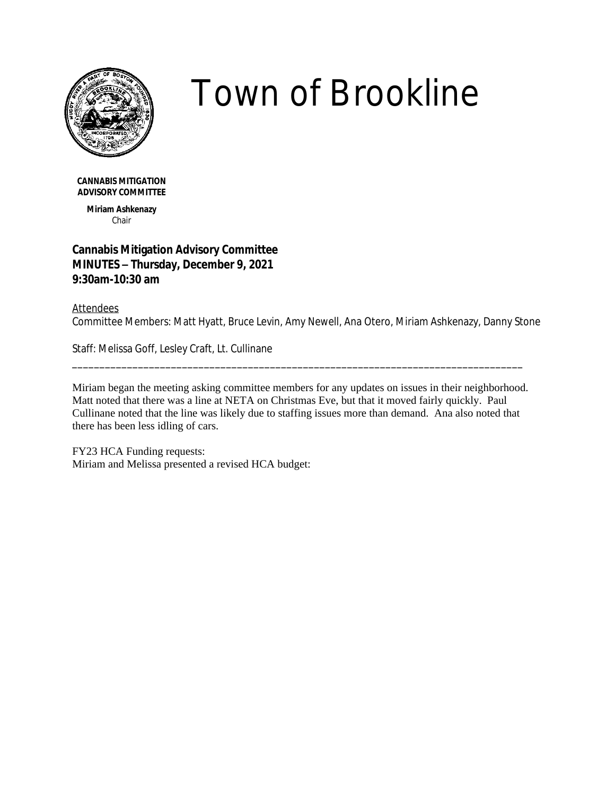

## *Town of Brookline*

**CANNABIS MITIGATION ADVISORY COMMITTEE**

> **Miriam Ashkenazy** Chair

## **Cannabis Mitigation Advisory Committee MINUTES – Thursday, December 9, 2021 9:30am-10:30 am**

## Attendees

Committee Members: Matt Hyatt, Bruce Levin, Amy Newell, Ana Otero, Miriam Ashkenazy, Danny Stone

Staff: Melissa Goff, Lesley Craft, Lt. Cullinane

Miriam began the meeting asking committee members for any updates on issues in their neighborhood. Matt noted that there was a line at NETA on Christmas Eve, but that it moved fairly quickly. Paul Cullinane noted that the line was likely due to staffing issues more than demand. Ana also noted that there has been less idling of cars.

\_\_\_\_\_\_\_\_\_\_\_\_\_\_\_\_\_\_\_\_\_\_\_\_\_\_\_\_\_\_\_\_\_\_\_\_\_\_\_\_\_\_\_\_\_\_\_\_\_\_\_\_\_\_\_\_\_\_\_\_\_\_\_\_\_\_\_\_\_\_\_\_\_\_\_\_\_\_\_\_\_\_

FY23 HCA Funding requests: Miriam and Melissa presented a revised HCA budget: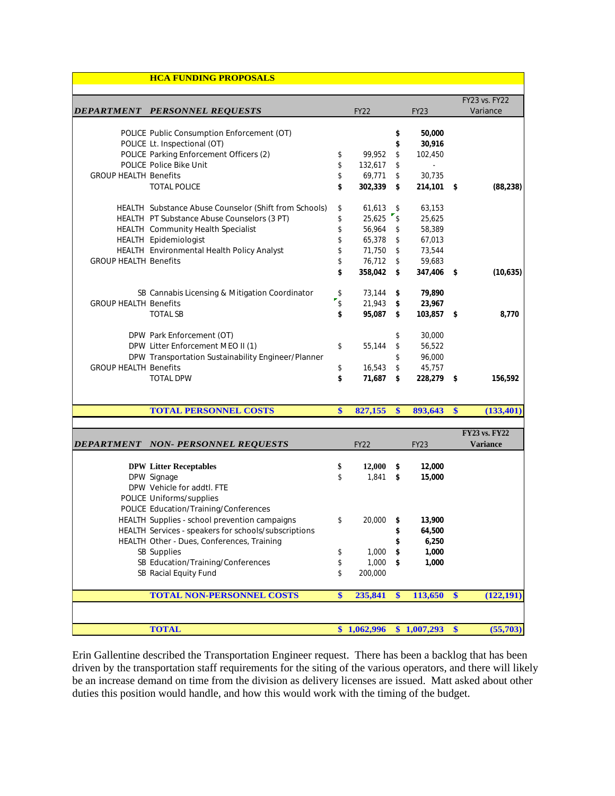|                              | <b>HCA FUNDING PROPOSALS</b>                          |                   |             |              |             |               |           |
|------------------------------|-------------------------------------------------------|-------------------|-------------|--------------|-------------|---------------|-----------|
|                              |                                                       |                   |             |              |             |               |           |
|                              | DEPARTMENT PERSONNEL REQUESTS                         |                   |             |              |             | FY23 vs. FY22 |           |
|                              |                                                       |                   | <b>FY22</b> |              | <b>FY23</b> | Variance      |           |
|                              | POLICE Public Consumption Enforcement (OT)            |                   |             |              | 50,000      |               |           |
|                              | POLICE Lt. Inspectional (OT)                          |                   |             | \$           | 30,916      |               |           |
|                              | POLICE Parking Enforcement Officers (2)               | \$                | 99.952      | \$           | 102.450     |               |           |
|                              | POLICE Police Bike Unit                               | \$                | 132,617     | \$           | $\sim$      |               |           |
| <b>GROUP HEALTH Benefits</b> |                                                       | \$                | 69,771      | $\mathsf S$  | 30,735      |               |           |
|                              | <b>TOTAL POLICE</b>                                   | \$                | 302.339     | \$           | 214,101 \$  |               | (88, 238) |
|                              | HEALTH Substance Abuse Counselor (Shift from Schools) | \$                | $61,613$ \$ |              | 63,153      |               |           |
|                              | HEALTH PT Substance Abuse Counselors (3 PT)           | \$                | $25,625$ \$ |              | 25,625      |               |           |
|                              | HEALTH Community Health Specialist                    | \$                | 56,964 \$   |              | 58,389      |               |           |
|                              | HEALTH Epidemiologist                                 | \$                | 65,378 \$   |              | 67,013      |               |           |
|                              | HEALTH Environmental Health Policy Analyst            | \$                | 71,750 \$   |              | 73,544      |               |           |
| <b>GROUP HEALTH Benefits</b> |                                                       | \$                | 76,712 \$   |              | 59,683      |               |           |
|                              |                                                       | \$                | 358.042 \$  |              | 347,406 \$  |               | (10,635)  |
|                              | SB Cannabis Licensing & Mitigation Coordinator        | \$                | $73,144$ \$ |              | 79,890      |               |           |
| <b>GROUP HEALTH Benefits</b> |                                                       | $\mathbf{r}_{\$}$ | 21,943      | $\mathsf{s}$ | 23,967      |               |           |
|                              | <b>TOTAL SB</b>                                       | \$                | 95,087      | s.           | 103,857 \$  |               | 8,770     |
|                              | DPW Park Enforcement (OT)                             |                   |             | \$           | 30,000      |               |           |
|                              | DPW Litter Enforcement MEO II (1)                     | \$                | 55,144      | \$           | 56,522      |               |           |
|                              | DPW Transportation Sustainability Engineer/Planner    |                   |             | \$           | 96,000      |               |           |
| <b>GROUP HEALTH Benefits</b> |                                                       | \$                | 16,543      |              | 45,757      |               |           |
|                              | <b>TOTAL DPW</b>                                      | \$                | 71,687      |              | 228,279     | -\$           | 156,592   |

## **DEPARTMENT NON- PERSONNEL REQUESTS** FY22 FY23 **FY23 vs. FY22 Variance DPW Litter Receptables \$ 12,000 \$ 12,000** DPW Signage \$ 1,841 **\$ 15,000** DPW Vehicle for addtl. FTE POLICE Uniforms/supplies POLICE Education/Training/Conferences HEALTH Supplies - school prevention campaigns \$ 20,000 **\$ 13,900** HEALTH Services - speakers for schools/subscriptions **\$ 64,500** HEALTH Other - Dues, Conferences, Training **\$ 6,250** SB Supplies \$ 1,000 **\$ 1,000** SB Education/Training/Conferences \$ 1,000 **\$ 1,000** SB Racial Equity Fund \$ 200,000 **TOTAL NON-PERSONNEL COSTS \$ 235,841 \$ 113,650 \$ (122,191) TOTAL \$ 1,062,996 \$ 1,007,293 \$ (55,703)**

**TOTAL PERSONNEL COSTS \$ 827,155 \$ 893,643 \$ (133,401)**

Erin Gallentine described the Transportation Engineer request. There has been a backlog that has been driven by the transportation staff requirements for the siting of the various operators, and there will likely be an increase demand on time from the division as delivery licenses are issued. Matt asked about other duties this position would handle, and how this would work with the timing of the budget.